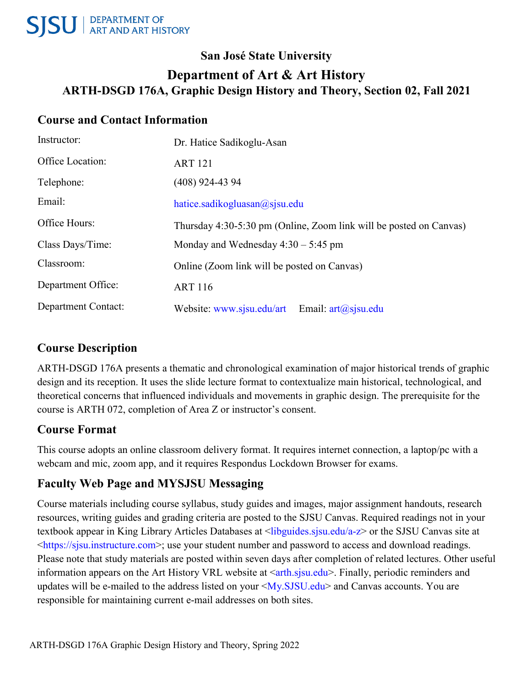## **San José State University Department of Art & Art History ARTH-DSGD 176A, Graphic Design History and Theory, Section 02, Fall 2021**

### **Course and Contact Information**

| Instructor:                | Dr. Hatice Sadikoglu-Asan                                          |
|----------------------------|--------------------------------------------------------------------|
| Office Location:           | <b>ART 121</b>                                                     |
| Telephone:                 | $(408)$ 924-43 94                                                  |
| Email:                     | hatice.sadikogluasan $\omega$ sjsu.edu                             |
| Office Hours:              | Thursday 4:30-5:30 pm (Online, Zoom link will be posted on Canvas) |
| Class Days/Time:           | Monday and Wednesday $4:30 - 5:45$ pm                              |
| Classroom:                 | Online (Zoom link will be posted on Canvas)                        |
| Department Office:         | <b>ART 116</b>                                                     |
| <b>Department Contact:</b> | Website: www.sjsu.edu/art<br>Email: $art(a)$ sjsu.edu              |

## **Course Description**

ARTH-DSGD 176A presents a thematic and chronological examination of major historical trends of graphic design and its reception. It uses the slide lecture format to contextualize main historical, technological, and theoretical concerns that influenced individuals and movements in graphic design. The prerequisite for the course is ARTH 072, completion of Area Z or instructor's consent.

## **Course Format**

This course adopts an online classroom delivery format. It requires internet connection, a laptop/pc with a webcam and mic, zoom app, and it requires Respondus Lockdown Browser for exams.

## **Faculty Web Page and MYSJSU Messaging**

Course materials including course syllabus, study guides and images, major assignment handouts, research resources, writing guides and grading criteria are posted to the SJSU Canvas. Required readings not in your textbook appear in King Library Articles Databases at <libguides.sjsu.edu/a-z> or the SJSU Canvas site at <https://sjsu.instructure.com>; use your student number and password to access and download readings. Please note that study materials are posted within seven days after completion of related lectures. Other useful information appears on the Art History VRL website at <arth.sjsu.edu>. Finally, periodic reminders and updates will be e-mailed to the address listed on your <My.SJSU.edu> and Canvas accounts. You are responsible for maintaining current e-mail addresses on both sites.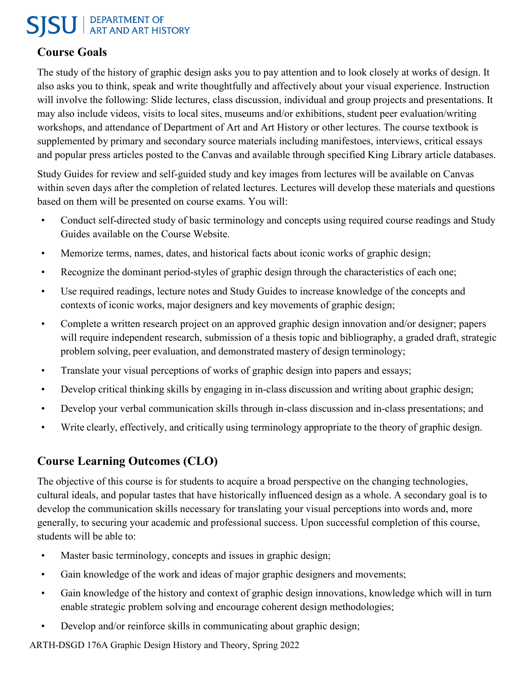## **SISU** ART AND ART HISTORY

#### **Course Goals**

The study of the history of graphic design asks you to pay attention and to look closely at works of design. It also asks you to think, speak and write thoughtfully and affectively about your visual experience. Instruction will involve the following: Slide lectures, class discussion, individual and group projects and presentations. It may also include videos, visits to local sites, museums and/or exhibitions, student peer evaluation/writing workshops, and attendance of Department of Art and Art History or other lectures. The course textbook is supplemented by primary and secondary source materials including manifestoes, interviews, critical essays and popular press articles posted to the Canvas and available through specified King Library article databases.

Study Guides for review and self-guided study and key images from lectures will be available on Canvas within seven days after the completion of related lectures. Lectures will develop these materials and questions based on them will be presented on course exams. You will:

- Conduct self-directed study of basic terminology and concepts using required course readings and Study Guides available on the Course Website.
- Memorize terms, names, dates, and historical facts about iconic works of graphic design;
- Recognize the dominant period-styles of graphic design through the characteristics of each one;
- Use required readings, lecture notes and Study Guides to increase knowledge of the concepts and contexts of iconic works, major designers and key movements of graphic design;
- Complete a written research project on an approved graphic design innovation and/or designer; papers will require independent research, submission of a thesis topic and bibliography, a graded draft, strategic problem solving, peer evaluation, and demonstrated mastery of design terminology;
- Translate your visual perceptions of works of graphic design into papers and essays;
- Develop critical thinking skills by engaging in in-class discussion and writing about graphic design;
- Develop your verbal communication skills through in-class discussion and in-class presentations; and
- Write clearly, effectively, and critically using terminology appropriate to the theory of graphic design.

## **Course Learning Outcomes (CLO)**

The objective of this course is for students to acquire a broad perspective on the changing technologies, cultural ideals, and popular tastes that have historically influenced design as a whole. A secondary goal is to develop the communication skills necessary for translating your visual perceptions into words and, more generally, to securing your academic and professional success. Upon successful completion of this course, students will be able to:

- Master basic terminology, concepts and issues in graphic design;
- Gain knowledge of the work and ideas of major graphic designers and movements;
- Gain knowledge of the history and context of graphic design innovations, knowledge which will in turn enable strategic problem solving and encourage coherent design methodologies;
- Develop and/or reinforce skills in communicating about graphic design;

ARTH-DSGD 176A Graphic Design History and Theory, Spring 2022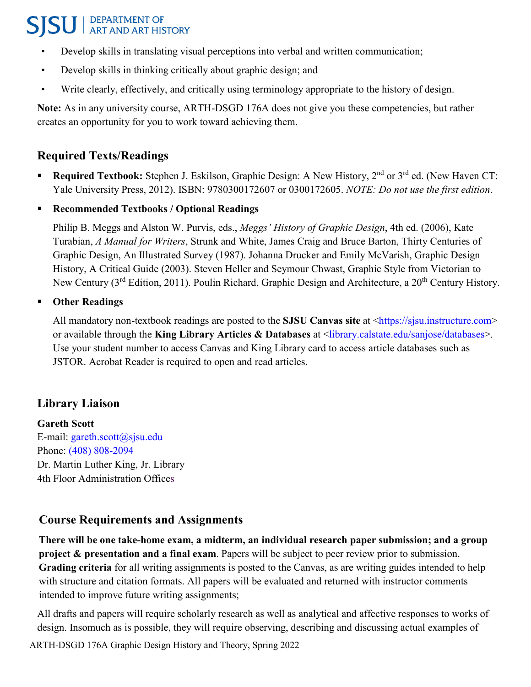## **SISU** ART AND ART HISTORY

- Develop skills in translating visual perceptions into verbal and written communication;
- Develop skills in thinking critically about graphic design; and
- Write clearly, effectively, and critically using terminology appropriate to the history of design.

**Note:** As in any university course, ARTH-DSGD 176A does not give you these competencies, but rather creates an opportunity for you to work toward achieving them.

### **Required Texts/Readings**

- **Required Textbook:** Stephen J. Eskilson, Graphic Design: A New History, 2<sup>nd</sup> or 3<sup>rd</sup> ed. (New Haven CT: Yale University Press, 2012). ISBN: 9780300172607 or 0300172605. *NOTE: Do not use the first edition*.
- **Recommended Textbooks / Optional Readings**

Philip B. Meggs and Alston W. Purvis, eds., *Meggs' History of Graphic Design*, 4th ed. (2006), Kate Turabian, *A Manual for Writers*, Strunk and White, James Craig and Bruce Barton, Thirty Centuries of Graphic Design, An Illustrated Survey (1987). Johanna Drucker and Emily McVarish, Graphic Design History, A Critical Guide (2003). Steven Heller and Seymour Chwast, Graphic Style from Victorian to New Century (3<sup>rd</sup> Edition, 2011). Poulin Richard, Graphic Design and Architecture, a 20<sup>th</sup> Century History.

#### **Other Readings**

All mandatory non-textbook readings are posted to the **SJSU Canvas site** at <https://sjsu.instructure.com> or available through the **King Library Articles & Databases** at <library.calstate.edu/sanjose/databases>. Use your student number to access Canvas and King Library card to access article databases such as JSTOR. Acrobat Reader is required to open and read articles.

#### **Library Liaison**

**Gareth Scott** E-mail: [gareth.scott@sjsu.edu](mailto:gareth.scott@sjsu.edu) Phone: [\(408\) 808-2094](tel:(408)%20808-2094) Dr. Martin Luther King, Jr. Library 4th Floor Administration Offices

#### **Course Requirements and Assignments**

**There will be one take-home exam, a midterm, an individual research paper submission; and a group project & presentation and a final exam**. Papers will be subject to peer review prior to submission. **Grading criteria** for all writing assignments is posted to the Canvas, as are writing guides intended to help with structure and citation formats. All papers will be evaluated and returned with instructor comments intended to improve future writing assignments;

ARTH-DSGD 176A Graphic Design History and Theory, Spring 2022 All drafts and papers will require scholarly research as well as analytical and affective responses to works of design. Insomuch as is possible, they will require observing, describing and discussing actual examples of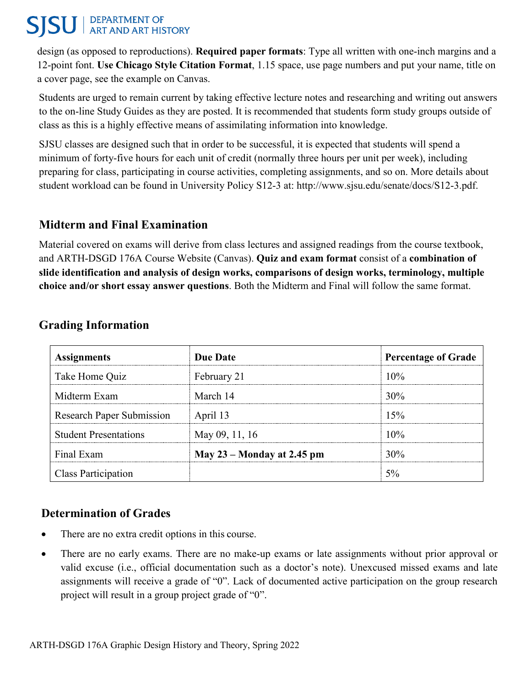#### DEPARTMENT OF<br>ART AND ART HISTORY **SISU**

design (as opposed to reproductions). **Required paper formats**: Type all written with one-inch margins and a 12-point font. **Use Chicago Style Citation Format**, 1.15 space, use page numbers and put your name, title on a cover page, see the example on Canvas.

Students are urged to remain current by taking effective lecture notes and researching and writing out answers to the on-line Study Guides as they are posted. It is recommended that students form study groups outside of class as this is a highly effective means of assimilating information into knowledge.

SJSU classes are designed such that in order to be successful, it is expected that students will spend a minimum of forty-five hours for each unit of credit (normally three hours per unit per week), including preparing for class, participating in course activities, completing assignments, and so on. More details about student workload can be found in University Policy S12-3 at: [http://www.sjsu.edu/senate/docs/S12-3.pdf.](http://www.sjsu.edu/senate/docs/S12-3.pdf)

#### **Midterm and Final Examination**

Material covered on exams will derive from class lectures and assigned readings from the course textbook, and ARTH-DSGD 176A Course Website (Canvas). **Quiz and exam format** consist of a **combination of slide identification and analysis of design works, comparisons of design works, terminology, multiple choice and/or short essay answer questions**. Both the Midterm and Final will follow the same format.

| <b>Assignments</b>               | <b>Due Date</b>              | <b>Percentage of Grade</b> |
|----------------------------------|------------------------------|----------------------------|
| Take Home Quiz                   | February 21                  | $10\%$                     |
| Midterm Exam                     | March 14                     | 30\%                       |
| <b>Research Paper Submission</b> | April 13                     | 15%                        |
| <b>Student Presentations</b>     | May 09, 11, 16               | $10\%$                     |
| Final Exam                       | May $23$ – Monday at 2.45 pm | 30%                        |
| Class Participation              |                              |                            |

#### **Grading Information**

## **Determination of Grades**

- There are no extra credit options in this course.
- There are no early exams. There are no make-up exams or late assignments without prior approval or valid excuse (i.e., official documentation such as a doctor's note). Unexcused missed exams and late assignments will receive a grade of "0". Lack of documented active participation on the group research project will result in a group project grade of "0".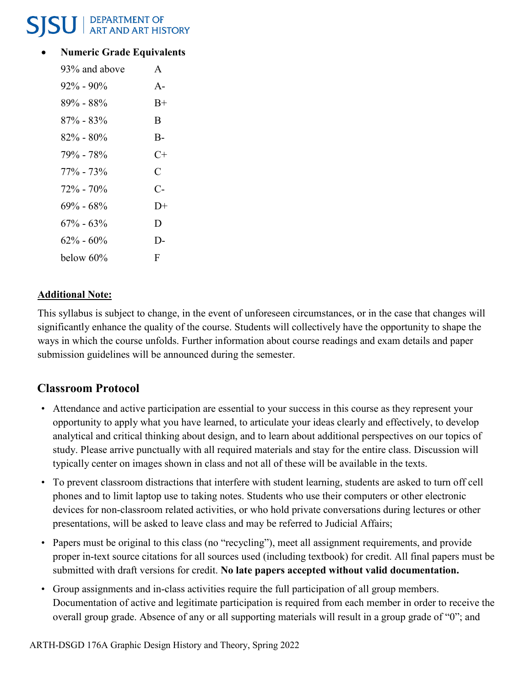## DEPARTMENT OF<br>ART AND ART HISTORY

#### • **Numeric Grade Equivalents**

| 93% and above | $\mathsf{A}$ |
|---------------|--------------|
| $92\% - 90\%$ | $A -$        |
| $89\% - 88\%$ | $B+$         |
| 87% - 83%     | B            |
| 82% - 80%     | $B -$        |
| 79% - 78%     | C+           |
| $77\% - 73\%$ | C            |
| $72\% - 70\%$ | $C-$         |
| $69\% - 68\%$ | $1) +$       |
| $67\% - 63\%$ | D            |
| $62\% - 60\%$ | D-           |
| below 60%     | F            |

#### **Additional Note:**

This syllabus is subject to change, in the event of unforeseen circumstances, or in the case that changes will significantly enhance the quality of the course. Students will collectively have the opportunity to shape the ways in which the course unfolds. Further information about course readings and exam details and paper submission guidelines will be announced during the semester.

## **Classroom Protocol**

- Attendance and active participation are essential to your success in this course as they represent your opportunity to apply what you have learned, to articulate your ideas clearly and effectively, to develop analytical and critical thinking about design, and to learn about additional perspectives on our topics of study. Please arrive punctually with all required materials and stay for the entire class. Discussion will typically center on images shown in class and not all of these will be available in the texts.
- To prevent classroom distractions that interfere with student learning, students are asked to turn off cell phones and to limit laptop use to taking notes. Students who use their computers or other electronic devices for non-classroom related activities, or who hold private conversations during lectures or other presentations, will be asked to leave class and may be referred to Judicial Affairs;
- Papers must be original to this class (no "recycling"), meet all assignment requirements, and provide proper in-text source citations for all sources used (including textbook) for credit. All final papers must be submitted with draft versions for credit. **No late papers accepted without valid documentation.**
- Group assignments and in-class activities require the full participation of all group members. Documentation of active and legitimate participation is required from each member in order to receive the overall group grade. Absence of any or all supporting materials will result in a group grade of "0"; and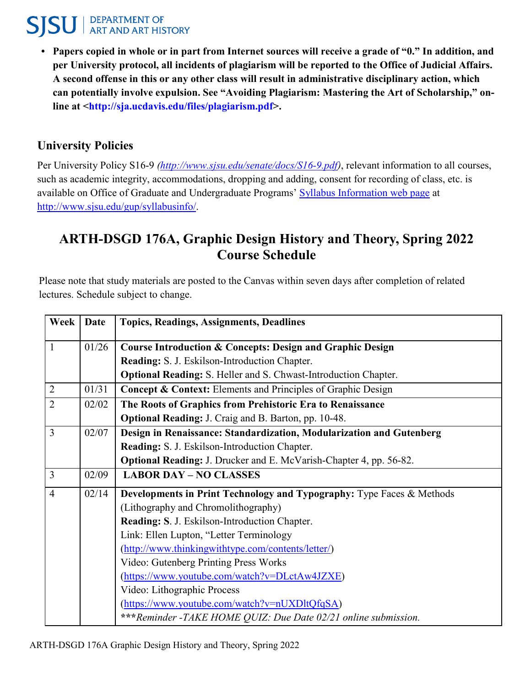# **SISU** ART AND ART HISTORY

**• Papers copied in whole or in part from Internet sources will receive a grade of "0." In addition, and per University protocol, all incidents of plagiarism will be reported to the Office of Judicial Affairs. A second offense in this or any other class will result in administrative disciplinary action, which can potentially involve expulsion. See "Avoiding Plagiarism: Mastering the Art of Scholarship," online at [<http://sja.ucdavis.edu/files/plagiarism.pdf>](http://sja.ucdavis.edu/files/plagiarism.pdf).**

### **University Policies**

Per University Policy S16-9 *[\(http://www.sjsu.edu/senate/docs/S16-9.pdf\)](http://www.sjsu.edu/senate/docs/S16-9.pdf)*, relevant information to all courses, such as academic integrity, accommodations, dropping and adding, consent for recording of class, etc. is available on Office of Graduate and Undergraduate Programs' [Syllabus Information web page](http://www.sjsu.edu/gup/syllabusinfo/) at [http://www.sjsu.edu/gup/syllabusinfo/.](http://www.sjsu.edu/gup/syllabusinfo/)

## **ARTH-DSGD 176A, Graphic Design History and Theory, Spring 2022 Course Schedule**

Please note that study materials are posted to the Canvas within seven days after completion of related lectures. Schedule subject to change.

| Week           | <b>Date</b> | <b>Topics, Readings, Assignments, Deadlines</b>                           |
|----------------|-------------|---------------------------------------------------------------------------|
| 1              | 01/26       | Course Introduction & Concepts: Design and Graphic Design                 |
|                |             | Reading: S. J. Eskilson-Introduction Chapter.                             |
|                |             | <b>Optional Reading:</b> S. Heller and S. Chwast-Introduction Chapter.    |
| $\overline{2}$ | 01/31       | <b>Concept &amp; Context:</b> Elements and Principles of Graphic Design   |
| $\overline{2}$ | 02/02       | The Roots of Graphics from Prehistoric Era to Renaissance                 |
|                |             | Optional Reading: J. Craig and B. Barton, pp. 10-48.                      |
| $\overline{3}$ | 02/07       | Design in Renaissance: Standardization, Modularization and Gutenberg      |
|                |             | Reading: S. J. Eskilson-Introduction Chapter.                             |
|                |             | <b>Optional Reading: J. Drucker and E. McVarish-Chapter 4, pp. 56-82.</b> |
| $\overline{3}$ | 02/09       | <b>LABOR DAY - NO CLASSES</b>                                             |
| $\overline{4}$ | 02/14       | Developments in Print Technology and Typography: Type Faces & Methods     |
|                |             | (Lithography and Chromolithography)                                       |
|                |             | Reading: S. J. Eskilson-Introduction Chapter.                             |
|                |             | Link: Ellen Lupton, "Letter Terminology                                   |
|                |             | (http://www.thinkingwithtype.com/contents/letter/)                        |
|                |             | Video: Gutenberg Printing Press Works                                     |
|                |             | (https://www.youtube.com/watch?v=DLctAw4JZXE)                             |
|                |             | Video: Lithographic Process                                               |
|                |             | (https://www.youtube.com/watch?v=nUXDltQfqSA)                             |
|                |             | ***Reminder -TAKE HOME QUIZ: Due Date 02/21 online submission.            |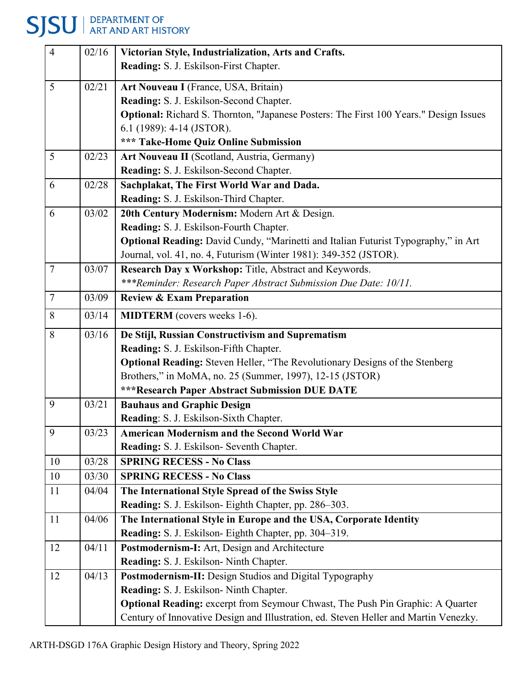# **SJSU** ART AND ART HISTORY

| $\overline{4}$ | 02/16 | Victorian Style, Industrialization, Arts and Crafts.                                  |
|----------------|-------|---------------------------------------------------------------------------------------|
|                |       | Reading: S. J. Eskilson-First Chapter.                                                |
| 5              | 02/21 | Art Nouveau I (France, USA, Britain)                                                  |
|                |       | Reading: S. J. Eskilson-Second Chapter.                                               |
|                |       | Optional: Richard S. Thornton, "Japanese Posters: The First 100 Years." Design Issues |
|                |       | 6.1 (1989): 4-14 (JSTOR).                                                             |
|                |       | *** Take-Home Quiz Online Submission                                                  |
| 5              | 02/23 | Art Nouveau II (Scotland, Austria, Germany)                                           |
|                |       | Reading: S. J. Eskilson-Second Chapter.                                               |
| 6              | 02/28 | Sachplakat, The First World War and Dada.                                             |
|                |       | Reading: S. J. Eskilson-Third Chapter.                                                |
| 6              | 03/02 | 20th Century Modernism: Modern Art & Design.                                          |
|                |       | Reading: S. J. Eskilson-Fourth Chapter.                                               |
|                |       | Optional Reading: David Cundy, "Marinetti and Italian Futurist Typography," in Art    |
|                |       | Journal, vol. 41, no. 4, Futurism (Winter 1981): 349-352 (JSTOR).                     |
| $\overline{7}$ | 03/07 | Research Day x Workshop: Title, Abstract and Keywords.                                |
|                |       | ***Reminder: Research Paper Abstract Submission Due Date: 10/11.                      |
| $\overline{7}$ | 03/09 | <b>Review &amp; Exam Preparation</b>                                                  |
| 8              | 03/14 | <b>MIDTERM</b> (covers weeks 1-6).                                                    |
| 8              | 03/16 | De Stijl, Russian Constructivism and Suprematism                                      |
|                |       | Reading: S. J. Eskilson-Fifth Chapter.                                                |
|                |       | <b>Optional Reading:</b> Steven Heller, "The Revolutionary Designs of the Stenberg    |
|                |       | Brothers," in MoMA, no. 25 (Summer, 1997), 12-15 (JSTOR)                              |
|                |       | <b>***Research Paper Abstract Submission DUE DATE</b>                                 |
| 9              | 03/21 | <b>Bauhaus and Graphic Design</b>                                                     |
|                |       | Reading: S. J. Eskilson-Sixth Chapter.                                                |
| 9              | 03/23 | <b>American Modernism and the Second World War</b>                                    |
|                |       | Reading: S. J. Eskilson- Seventh Chapter.                                             |
| 10             | 03/28 | <b>SPRING RECESS - No Class</b>                                                       |
| 10             | 03/30 | <b>SPRING RECESS - No Class</b>                                                       |
| 11             | 04/04 | The International Style Spread of the Swiss Style                                     |
|                |       | Reading: S. J. Eskilson- Eighth Chapter, pp. 286-303.                                 |
| 11             | 04/06 | The International Style in Europe and the USA, Corporate Identity                     |
|                |       | Reading: S. J. Eskilson- Eighth Chapter, pp. 304-319.                                 |
| 12             | 04/11 | Postmodernism-I: Art, Design and Architecture                                         |
|                |       | Reading: S. J. Eskilson- Ninth Chapter.                                               |
| 12             | 04/13 | Postmodernism-II: Design Studios and Digital Typography                               |
|                |       | Reading: S. J. Eskilson- Ninth Chapter.                                               |
|                |       | Optional Reading: excerpt from Seymour Chwast, The Push Pin Graphic: A Quarter        |
|                |       | Century of Innovative Design and Illustration, ed. Steven Heller and Martin Venezky.  |